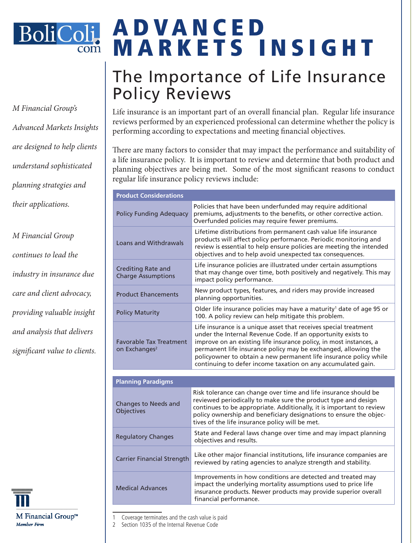

*M Financial Group's Advanced Markets Insights are designed to help clients understand sophisticated planning strategies and their applications.* 

*M Financial Group continues to lead the industry in insurance due care and client advocacy, providing valuable insight and analysis that delivers significant value to clients.*



# A D V A N C E D MARKETS INSIGHT

## The Importance of Life Insurance Policy Reviews

Life insurance is an important part of an overall financial plan. Regular life insurance reviews performed by an experienced professional can determine whether the policy is performing according to expectations and meeting financial objectives.

There are many factors to consider that may impact the performance and suitability of a life insurance policy. It is important to review and determine that both product and planning objectives are being met. Some of the most significant reasons to conduct regular life insurance policy reviews include:

| <b>Product Considerations</b>                               |                                                                                                                                                                                                                                                                                                                                                                                                               |
|-------------------------------------------------------------|---------------------------------------------------------------------------------------------------------------------------------------------------------------------------------------------------------------------------------------------------------------------------------------------------------------------------------------------------------------------------------------------------------------|
| <b>Policy Funding Adequacy</b>                              | Policies that have been underfunded may require additional<br>premiums, adjustments to the benefits, or other corrective action.<br>Overfunded policies may require fewer premiums.                                                                                                                                                                                                                           |
| <b>Loans and Withdrawals</b>                                | Lifetime distributions from permanent cash value life insurance<br>products will affect policy performance. Periodic monitoring and<br>review is essential to help ensure policies are meeting the intended<br>objectives and to help avoid unexpected tax consequences.                                                                                                                                      |
| <b>Crediting Rate and</b><br><b>Charge Assumptions</b>      | Life insurance policies are illustrated under certain assumptions<br>that may change over time, both positively and negatively. This may<br>impact policy performance.                                                                                                                                                                                                                                        |
| <b>Product Ehancements</b>                                  | New product types, features, and riders may provide increased<br>planning opportunities.                                                                                                                                                                                                                                                                                                                      |
| <b>Policy Maturity</b>                                      | Older life insurance policies may have a maturity <sup>1</sup> date of age 95 or<br>100. A policy review can help mitigate this problem.                                                                                                                                                                                                                                                                      |
| <b>Favorable Tax Treatment</b><br>on Exchanges <sup>2</sup> | Life insurance is a unique asset that receives special treatment<br>under the Internal Revenue Code. If an opportunity exists to<br>improve on an existing life insurance policy, in most instances, a<br>permanent life insurance policy may be exchanged, allowing the<br>policyowner to obtain a new permanent life insurance policy while<br>continuing to defer income taxation on any accumulated gain. |
|                                                             |                                                                                                                                                                                                                                                                                                                                                                                                               |
| <b>Planning Paradigms</b>                                   |                                                                                                                                                                                                                                                                                                                                                                                                               |
| Changes to Needs and<br>Objectives                          | Risk tolerance can change over time and life insurance should be<br>reviewed periodically to make sure the product type and design<br>continues to be appropriate. Additionally, it is important to review<br>policy ownership and beneficiary designations to ensure the objec-<br>tives of the life insurance policy will be met.                                                                           |
| <b>Regulatory Changes</b>                                   | State and Federal laws change over time and may impact planning<br>objectives and results.                                                                                                                                                                                                                                                                                                                    |
| <b>Carrier Financial Strength</b>                           | Like other major financial institutions, life insurance companies are<br>reviewed by rating agencies to analyze strength and stability.                                                                                                                                                                                                                                                                       |
| <b>Medical Advances</b>                                     | Improvements in how conditions are detected and treated may<br>impact the underlying mortality assumptions used to price life<br>insurance products. Newer products may provide superior overall<br>financial performance.                                                                                                                                                                                    |

Coverage terminates and the cash value is paid

2 Section 1035 of the Internal Revenue Code